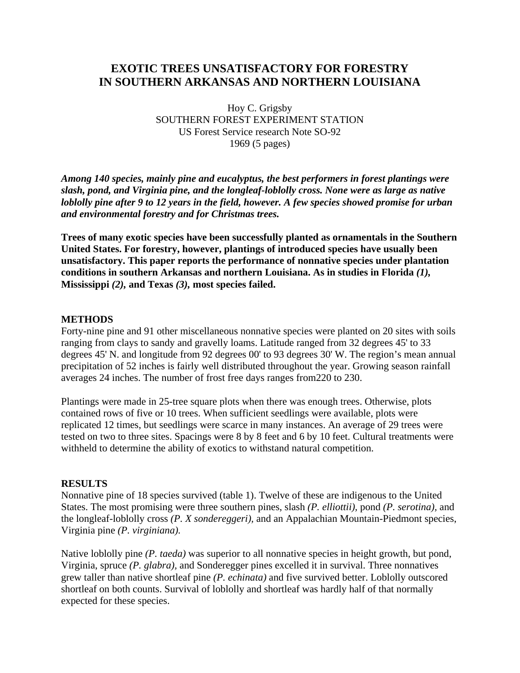## **EXOTIC TREES UNSATISFACTORY FOR FORESTRY IN SOUTHERN ARKANSAS AND NORTHERN LOUISIANA**

Hoy C. Grigsby SOUTHERN FOREST EXPERIMENT STATION US Forest Service research Note SO-92 1969 (5 pages)

*Among 140 species, mainly pine and eucalyptus, the best performers in forest plantings were slash, pond, and Virginia pine, and the longleaf-loblolly cross. None were as large as native loblolly pine after 9 to 12 years in the field, however. A few species showed promise for urban and environmental forestry and for Christmas trees.*

**Trees of many exotic species have been successfully planted as ornamentals in the Southern United States. For forestry, however, plantings of introduced species have usually been unsatisfactory. This paper reports the performance of nonnative species under plantation conditions in southern Arkansas and northern Louisiana. As in studies in Florida** *(1),* **Mississippi** *(2),* **and Texas** *(3),* **most species failed.**

#### **METHODS**

Forty-nine pine and 91 other miscellaneous nonnative species were planted on 20 sites with soils ranging from clays to sandy and gravelly loams. Latitude ranged from 32 degrees 45' to 33 degrees 45' N. and longitude from 92 degrees 00' to 93 degrees 30' W. The region's mean annual precipitation of 52 inches is fairly well distributed throughout the year. Growing season rainfall averages 24 inches. The number of frost free days ranges from220 to 230.

Plantings were made in 25-tree square plots when there was enough trees. Otherwise, plots contained rows of five or 10 trees. When sufficient seedlings were available, plots were replicated 12 times, but seedlings were scarce in many instances. An average of 29 trees were tested on two to three sites. Spacings were 8 by 8 feet and 6 by 10 feet. Cultural treatments were withheld to determine the ability of exotics to withstand natural competition.

#### **RESULTS**

Nonnative pine of 18 species survived (table 1). Twelve of these are indigenous to the United States. The most promising were three southern pines, slash *(P. elliottii),* pond *(P. serotina),* and the longleaf-loblolly cross *(P. X sondereggeri),* and an Appalachian Mountain-Piedmont species, Virginia pine *(P. virginiana).*

Native loblolly pine *(P. taeda)* was superior to all nonnative species in height growth, but pond, Virginia, spruce *(P. glabra),* and Sonderegger pines excelled it in survival. Three nonnatives grew taller than native shortleaf pine *(P. echinata)* and five survived better. Loblolly outscored shortleaf on both counts. Survival of loblolly and shortleaf was hardly half of that normally expected for these species.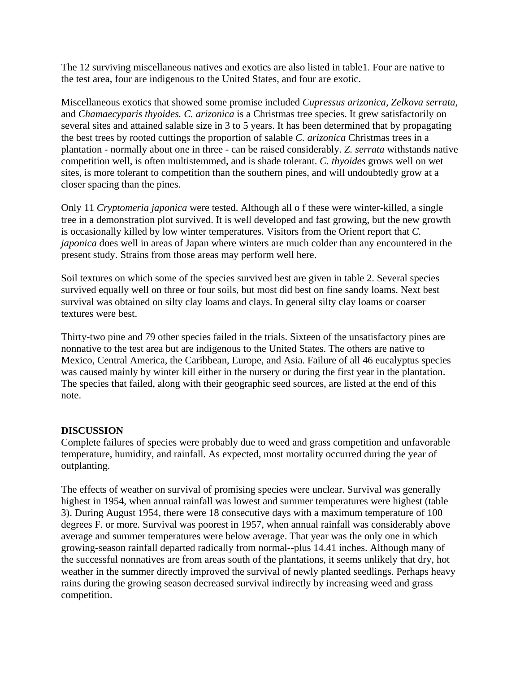The 12 surviving miscellaneous natives and exotics are also listed in table1. Four are native to the test area, four are indigenous to the United States, and four are exotic.

Miscellaneous exotics that showed some promise included *Cupressus arizonica, Zelkova serrata,*  and *Chamaecyparis thyoides. C. arizonica* is a Christmas tree species. It grew satisfactorily on several sites and attained salable size in 3 to 5 years. It has been determined that by propagating the best trees by rooted cuttings the proportion of salable *C. arizonica* Christmas trees in a plantation - normally about one in three - can be raised considerably. *Z. serrata* withstands native competition well, is often multistemmed, and is shade tolerant. *C. thyoides* grows well on wet sites, is more tolerant to competition than the southern pines, and will undoubtedly grow at a closer spacing than the pines.

Only 11 *Cryptomeria japonica* were tested. Although all o f these were winter-killed, a single tree in a demonstration plot survived. It is well developed and fast growing, but the new growth is occasionally killed by low winter temperatures. Visitors from the Orient report that *C. japonica* does well in areas of Japan where winters are much colder than any encountered in the present study. Strains from those areas may perform well here.

Soil textures on which some of the species survived best are given in table 2. Several species survived equally well on three or four soils, but most did best on fine sandy loams. Next best survival was obtained on silty clay loams and clays. In general silty clay loams or coarser textures were best.

Thirty-two pine and 79 other species failed in the trials. Sixteen of the unsatisfactory pines are nonnative to the test area but are indigenous to the United States. The others are native to Mexico, Central America, the Caribbean, Europe, and Asia. Failure of all 46 eucalyptus species was caused mainly by winter kill either in the nursery or during the first year in the plantation. The species that failed, along with their geographic seed sources, are listed at the end of this note.

### **DISCUSSION**

Complete failures of species were probably due to weed and grass competition and unfavorable temperature, humidity, and rainfall. As expected, most mortality occurred during the year of outplanting.

The effects of weather on survival of promising species were unclear. Survival was generally highest in 1954, when annual rainfall was lowest and summer temperatures were highest (table 3). During August 1954, there were 18 consecutive days with a maximum temperature of 100 degrees F. or more. Survival was poorest in 1957, when annual rainfall was considerably above average and summer temperatures were below average. That year was the only one in which growing-season rainfall departed radically from normal--plus 14.41 inches. Although many of the successful nonnatives are from areas south of the plantations, it seems unlikely that dry, hot weather in the summer directly improved the survival of newly planted seedlings. Perhaps heavy rains during the growing season decreased survival indirectly by increasing weed and grass competition.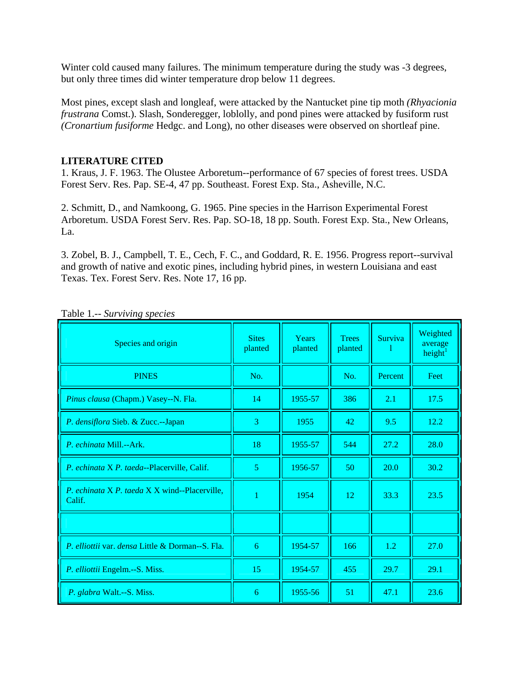Winter cold caused many failures. The minimum temperature during the study was -3 degrees, but only three times did winter temperature drop below 11 degrees.

Most pines, except slash and longleaf, were attacked by the Nantucket pine tip moth *(Rhyacionia frustrana* Comst.). Slash, Sonderegger, loblolly, and pond pines were attacked by fusiform rust *(Cronartium fusiforme* Hedgc. and Long), no other diseases were observed on shortleaf pine.

## **LITERATURE CITED**

1. Kraus, J. F. 1963. The Olustee Arboretum--performance of 67 species of forest trees. USDA Forest Serv. Res. Pap. SE-4, 47 pp. Southeast. Forest Exp. Sta., Asheville, N.C.

2. Schmitt, D., and Namkoong, G. 1965. Pine species in the Harrison Experimental Forest Arboretum. USDA Forest Serv. Res. Pap. SO-18, 18 pp. South. Forest Exp. Sta., New Orleans, La.

3. Zobel, B. J., Campbell, T. E., Cech, F. C., and Goddard, R. E. 1956. Progress report--survival and growth of native and exotic pines, including hybrid pines, in western Louisiana and east Texas. Tex. Forest Serv. Res. Note 17, 16 pp.

| Species and origin                                             | <b>Sites</b><br>planted | Years<br>planted | <b>Trees</b><br>planted | Surviva | Weighted<br>average<br>height <sup>1</sup> |
|----------------------------------------------------------------|-------------------------|------------------|-------------------------|---------|--------------------------------------------|
| <b>PINES</b>                                                   | No.                     |                  | No.                     | Percent | Feet                                       |
| Pinus clausa (Chapm.) Vasey--N. Fla.                           | 14                      | 1955-57          | 386                     | 2.1     | 17.5                                       |
| P. densiflora Sieb. & Zucc.--Japan                             | 3                       | 1955             | 42                      | 9.5     | 12.2                                       |
| P. echinata Mill.--Ark.                                        | 18                      | 1955-57          | 544                     | 27.2    | 28.0                                       |
| P. echinata X P. taeda--Placerville, Calif.                    | 5                       | 1956-57          | 50                      | 20.0    | 30.2                                       |
| <i>P. echinata X P. taeda X X wind--Placerville.</i><br>Calif. | 1                       | 1954             | 12                      | 33.3    | 23.5                                       |
|                                                                |                         |                  |                         |         |                                            |
| P. elliottii var. densa Little & Dorman--S. Fla.               | 6                       | 1954-57          | 166                     | 1.2     | 27.0                                       |
| P. elliottii Engelm.--S. Miss.                                 | 15                      | 1954-57          | 455                     | 29.7    | 29.1                                       |
| P. glabra Walt.--S. Miss.                                      | 6                       | 1955-56          | 51                      | 47.1    | 23.6                                       |

Table 1.-- *Surviving species*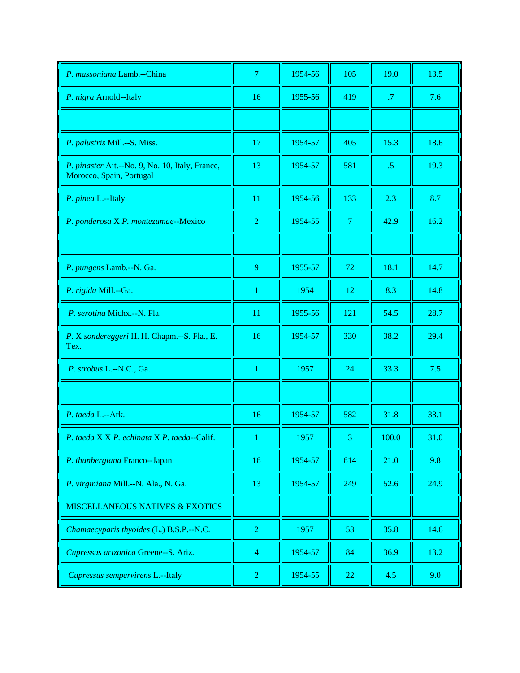| P. massoniana Lamb.--China                                                  | $\overline{7}$ | 1954-56 | 105            | 19.0            | 13.5 |
|-----------------------------------------------------------------------------|----------------|---------|----------------|-----------------|------|
| P. nigra Arnold--Italy                                                      | 16             | 1955-56 | 419            | .7              | 7.6  |
|                                                                             |                |         |                |                 |      |
| P. palustris Mill.--S. Miss.                                                | 17             | 1954-57 | 405            | 15.3            | 18.6 |
| P. pinaster Ait.--No. 9, No. 10, Italy, France,<br>Morocco, Spain, Portugal | 13             | 1954-57 | 581            | $.5\phantom{0}$ | 19.3 |
| P. pinea L.--Italy                                                          | 11             | 1954-56 | 133            | 2.3             | 8.7  |
| P. ponderosa X P. montezumae--Mexico                                        | $\overline{2}$ | 1954-55 | $\overline{7}$ | 42.9            | 16.2 |
|                                                                             |                |         |                |                 |      |
| P. pungens Lamb.--N. Ga.                                                    | 9              | 1955-57 | 72             | 18.1            | 14.7 |
| P. rigida Mill.--Ga.                                                        | 1              | 1954    | 12             | 8.3             | 14.8 |
| P. serotina Michx.--N. Fla.                                                 | 11             | 1955-56 | 121            | 54.5            | 28.7 |
| P. X sondereggeri H. H. Chapm.--S. Fla., E.<br>Tex.                         | 16             | 1954-57 | 330            | 38.2            | 29.4 |
| P. strobus L.--N.C., Ga.                                                    | 1              | 1957    | 24             | 33.3            | 7.5  |
|                                                                             |                |         |                |                 |      |
| P. taeda L.--Ark.                                                           | 16             | 1954-57 | 582            | 31.8            | 33.1 |
| P. taeda X X P. echinata X P. taeda--Calif.                                 |                | 1957    | 3              | 100.0           | 31.0 |
| P. thunbergiana Franco--Japan                                               | 16             | 1954-57 | 614            | 21.0            | 9.8  |
| P. virginiana Mill.--N. Ala., N. Ga.                                        | 13             | 1954-57 | 249            | 52.6            | 24.9 |
| <b>MISCELLANEOUS NATIVES &amp; EXOTICS</b>                                  |                |         |                |                 |      |
| Chamaecyparis thyoides (L.) B.S.P.--N.C.                                    | $\overline{2}$ | 1957    | 53             | 35.8            | 14.6 |
| Cupressus arizonica Greene--S. Ariz.                                        | $\overline{4}$ | 1954-57 | 84             | 36.9            | 13.2 |
| Cupressus sempervirens L.--Italy                                            | $\overline{2}$ | 1954-55 | 22             | 4.5             | 9.0  |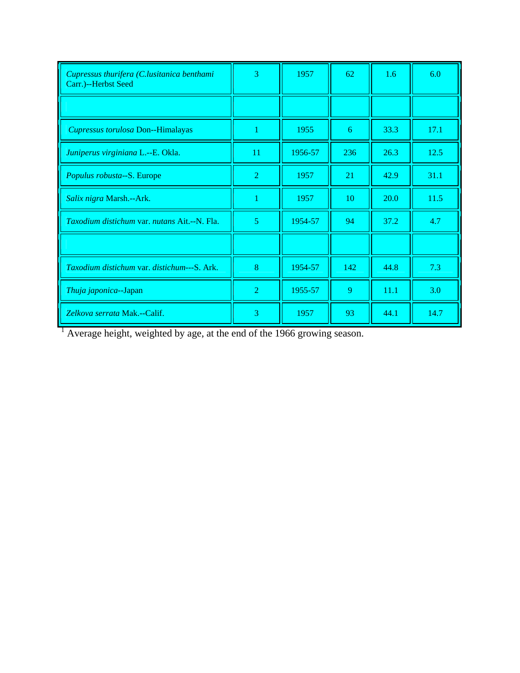| Cupressus thurifera (C.lusitanica benthami<br>Carr.)--Herbst Seed | 3              | 1957    | 62  | 1.6  | 6.0  |
|-------------------------------------------------------------------|----------------|---------|-----|------|------|
|                                                                   |                |         |     |      |      |
| Cupressus torulosa Don--Himalayas                                 |                | 1955    | 6   | 33.3 | 17.1 |
| Juniperus virginiana L.--E. Okla.                                 | 11             | 1956-57 | 236 | 26.3 | 12.5 |
| Populus robusta--S. Europe                                        | $\overline{2}$ | 1957    | 21  | 42.9 | 31.1 |
| Salix nigra Marsh.--Ark.                                          |                | 1957    | 10  | 20.0 | 11.5 |
| <i>Taxodium distichum var. nutans Ait.--N. Fla.</i>               | $\overline{5}$ | 1954-57 | 94  | 37.2 | 4.7  |
|                                                                   |                |         |     |      |      |
| Taxodium distichum var. distichum---S. Ark.                       | 8              | 1954-57 | 142 | 44.8 | 7.3  |
| Thuja japonica--Japan                                             | $\overline{2}$ | 1955-57 | 9   | 11.1 | 3.0  |
| Zelkova serrata Mak.--Calif.                                      | 3              | 1957    | 93  | 44.1 | 14.7 |

 $<sup>1</sup>$  Average height, weighted by age, at the end of the 1966 growing season.</sup>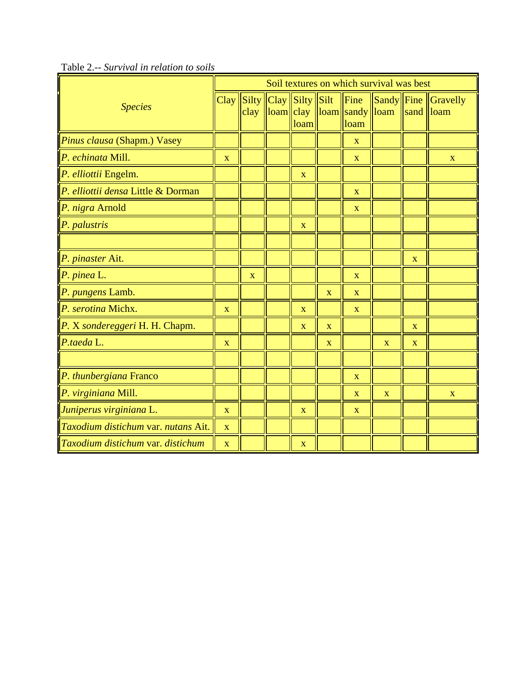|                                          | Soil textures on which survival was best |              |  |                                                                                                      |                         |                                         |              |                           |                                               |
|------------------------------------------|------------------------------------------|--------------|--|------------------------------------------------------------------------------------------------------|-------------------------|-----------------------------------------|--------------|---------------------------|-----------------------------------------------|
| <b>Species</b>                           | Clay                                     |              |  | $\left \text{Silty}\right \left \text{Clay}\right \left \text{Silty}\right \left \text{Silt}\right $ |                         | Fine                                    |              |                           | $\ \text{Sandy}\ $ Fine $\ \text{Gravelly}\ $ |
|                                          |                                          | clay         |  | loam                                                                                                 |                         | loam  clay   loam  sandy  loam <br>loam |              | $\vert$ sand $\vert$ loam |                                               |
| Pinus clausa (Shapm.) Vasey              |                                          |              |  |                                                                                                      |                         | $\mathbf X$                             |              |                           |                                               |
| $P.$ echinata Mill.                      | X                                        |              |  |                                                                                                      |                         | X                                       |              |                           | $\mathbf{X}$                                  |
| P. elliottii Engelm.                     |                                          |              |  | X                                                                                                    |                         |                                         |              |                           |                                               |
| P. elliottii densa Little & Dorman       |                                          |              |  |                                                                                                      |                         | X                                       |              |                           |                                               |
| P. nigra Arnold                          |                                          |              |  |                                                                                                      |                         | $\mathbf X$                             |              |                           |                                               |
| $P.$ palustris                           |                                          |              |  | X                                                                                                    |                         |                                         |              |                           |                                               |
|                                          |                                          |              |  |                                                                                                      |                         |                                         |              |                           |                                               |
| P. pinaster Ait.                         |                                          |              |  |                                                                                                      |                         |                                         |              | $\mathbf X$               |                                               |
| P. pinea L.                              |                                          | $\mathbf{X}$ |  |                                                                                                      |                         | $\mathbf{X}$                            |              |                           |                                               |
| P. pungens Lamb.                         |                                          |              |  |                                                                                                      | $\mathbf X$             | $\mathbf X$                             |              |                           |                                               |
| $\vert P$ . serotina Michx.              | X                                        |              |  | X                                                                                                    |                         | $\mathbf X$                             |              |                           |                                               |
| $\vert P$ . X sondereggeri H. H. Chapm.  |                                          |              |  | $\mathbf{X}$                                                                                         | $\mathbf X$             |                                         |              | $\mathbf X$               |                                               |
| $P$ .taeda L.                            | X                                        |              |  |                                                                                                      | $\overline{\mathbf{X}}$ |                                         | $\mathbf X$  | $\mathbf{X}$              |                                               |
|                                          |                                          |              |  |                                                                                                      |                         |                                         |              |                           |                                               |
| P. thunbergiana Franco                   |                                          |              |  |                                                                                                      |                         | $\mathbf{X}$                            |              |                           |                                               |
| P. virginiana Mill.                      |                                          |              |  |                                                                                                      |                         | X                                       | $\mathbf{X}$ |                           | X                                             |
| Juniperus virginiana L.                  | $\mathbf{X}$                             |              |  | $\mathbf X$                                                                                          |                         | X                                       |              |                           |                                               |
| Taxodium distichum var. nutans Ait.      | X                                        |              |  |                                                                                                      |                         |                                         |              |                           |                                               |
| <i>Taxodium distichum var. distichum</i> | $\mathbf X$                              |              |  | $\mathbf X$                                                                                          |                         |                                         |              |                           |                                               |

Table 2.-- *Survival in relation to soils*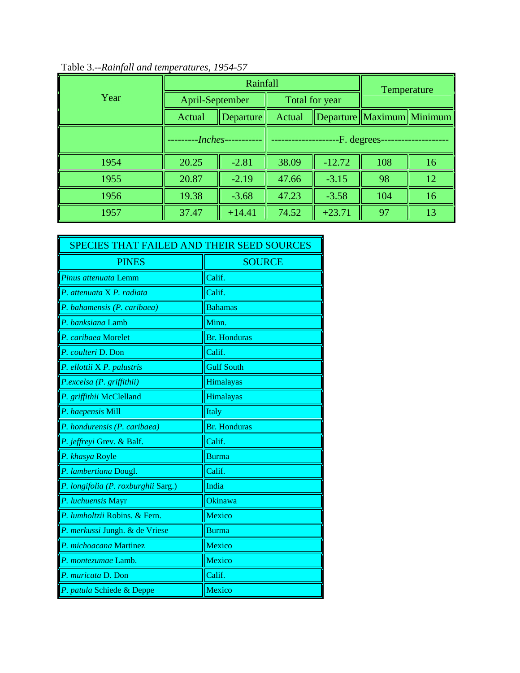|      |                     | Rainfall | Temperature  |                |                               |    |
|------|---------------------|----------|--------------|----------------|-------------------------------|----|
| Year | April-September     |          |              | Total for year |                               |    |
|      | Actual<br>Departure |          | Actual       |                | Departure   Maximum   Minimum |    |
|      | -Inches-            |          | -F. degrees- |                |                               |    |
| 1954 | 20.25               | $-2.81$  | 38.09        | $-12.72$       | 108                           | 16 |
| 1955 | 20.87               | $-2.19$  | 47.66        | $-3.15$        | 98                            | 12 |
| 1956 | 19.38               | $-3.68$  | 47.23        | $-3.58$        | 104                           | 16 |
| 1957 | 37.47               | $+14.41$ | 74.52        | $+23.71$       | 97                            | 13 |

# Table 3.--*Rainfall and temperatures, 1954-57*

| SPECIES THAT FAILED AND THEIR SEED SOURCES |                     |  |  |  |
|--------------------------------------------|---------------------|--|--|--|
| <b>PINES</b>                               | <b>SOURCE</b>       |  |  |  |
| Pinus attenuata Lemm                       | Calif.              |  |  |  |
| P. attenuata X P. radiata                  | Calif.              |  |  |  |
| P. bahamensis (P. caribaea)                | <b>Bahamas</b>      |  |  |  |
| P. banksiana Lamb                          | Minn.               |  |  |  |
| P. caribaea Morelet                        | <b>Br.</b> Honduras |  |  |  |
| P. coulteri D. Don                         | Calif.              |  |  |  |
| P. ellottii X <sup>P</sup> . palustris     | <b>Gulf South</b>   |  |  |  |
| P.excelsa (P. griffithii)                  | Himalayas           |  |  |  |
| P. griffithii McClelland                   | Himalayas           |  |  |  |
| P. haepensis Mill                          | Italy               |  |  |  |
| P. hondurensis (P. caribaea)               | <b>Br.</b> Honduras |  |  |  |
| P. jeffreyi Grev. & Balf.                  | Calif.              |  |  |  |
| P. khasya Royle                            | <b>Burma</b>        |  |  |  |
| P. lambertiana Dougl.                      | Calif.              |  |  |  |
| P. longifolia (P. roxburghii Sarg.)        | India               |  |  |  |
| P. luchuensis Mayr                         | Okinawa             |  |  |  |
| P. lumholtzii Robins. & Fern.              | Mexico              |  |  |  |
| P. merkussi Jungh. & de Vriese             | Burma               |  |  |  |
| P. michoacana Martinez                     | Mexico              |  |  |  |
| P. montezumae Lamb.                        | Mexico              |  |  |  |
| P. muricata D. Don                         | Calif.              |  |  |  |
| P. patula Schiede & Deppe                  | Mexico              |  |  |  |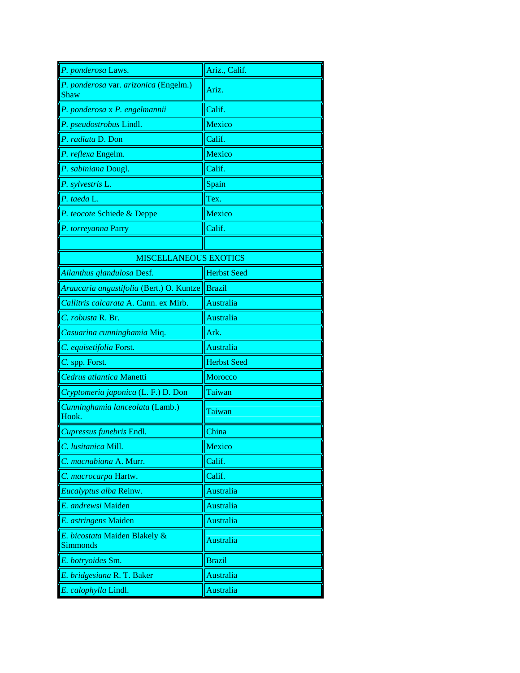| P. ponderosa Laws.                               | Ariz., Calif.      |
|--------------------------------------------------|--------------------|
| P. ponderosa var. arizonica (Engelm.)<br>Shaw    | Ariz.              |
| P. ponderosa x P. engelmannii                    | Calif.             |
| P. pseudostrobus Lindl.                          | Mexico             |
| P. radiata D. Don                                | Calif.             |
| P. reflexa Engelm.                               | Mexico             |
| P. sabiniana Dougl.                              | Calif.             |
| P. sylvestris L.                                 | Spain              |
| P. taeda L.                                      | Tex.               |
| P. teocote Schiede & Deppe                       | Mexico             |
| P. torreyanna Parry                              | Calif.             |
|                                                  |                    |
| <b>MISCELLANEOUS EXOTICS</b>                     |                    |
| Ailanthus glandulosa Desf.                       | <b>Herbst Seed</b> |
| Araucaria angustifolia (Bert.) O. Kuntze         | <b>Brazil</b>      |
| Callitris calcarata A. Cunn. ex Mirb.            | Australia          |
| C. robusta R. Br.                                | <b>Australia</b>   |
| Casuarina cunninghamia Miq.                      | Ark.               |
| C. equisetifolia Forst.                          | Australia          |
| C. spp. Forst.                                   | <b>Herbst Seed</b> |
| Cedrus atlantica Manetti                         | <b>Morocco</b>     |
| Cryptomeria japonica (L. F.) D. Don              | Taiwan             |
| Cunninghamia lanceolata (Lamb.)<br>Hook.         | Taiwan             |
| Cupressus funebris Endl.                         | China              |
| C. lusitanica Mill.                              | Mexico             |
| C. macnabiana A. Murr.                           | Calif.             |
| C. macrocarpa Hartw.                             | Calif.             |
| Eucalyptus alba Reinw.                           | Australia          |
| E. andrewsi Maiden                               | Australia          |
| E. astringens Maiden                             | Australia          |
| E. bicostata Maiden Blakely &<br><b>Simmonds</b> | Australia          |
| E. botryoides Sm.                                | <b>Brazil</b>      |
| E. bridgesiana R. T. Baker                       | Australia          |
|                                                  |                    |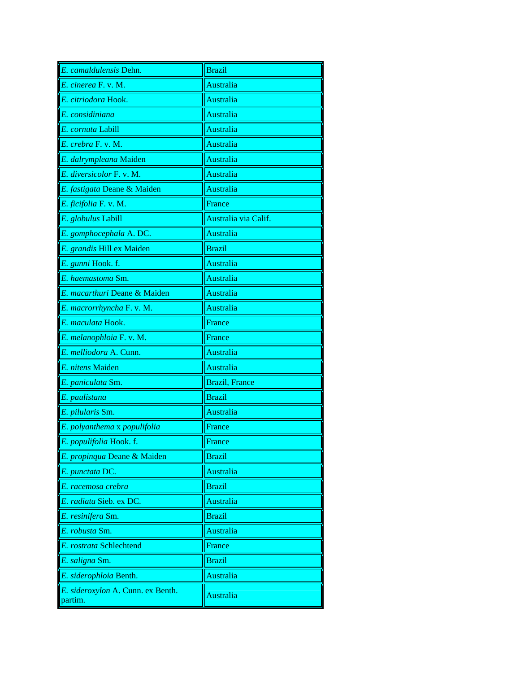| E. camaldulensis Dehn.                       | <b>Brazil</b>          |
|----------------------------------------------|------------------------|
| E. cinerea F. v. M.                          | Australia              |
| E. citriodora Hook.                          | Australia              |
| E. considiniana                              | Australia              |
| E. cornuta Labill                            | Australia              |
| E. crebra F. v. M.                           | Australia              |
| E. dalrympleana Maiden                       | Australia              |
| E. diversicolor F. v. M.                     | Australia              |
| E. fastigata Deane & Maiden                  | Australia              |
| E. ficifolia F. v. M.                        | France                 |
| E. globulus Labill                           | Australia via Calif.   |
| E. gomphocephala A. DC.                      | <b>Australia</b>       |
| E. grandis Hill ex Maiden                    | <b>Brazil</b>          |
| E. gunni Hook. f.                            | Australia              |
| E. haemastoma Sm.                            | Australia              |
| E. macarthuri Deane & Maiden                 | Australia              |
| E. macrorrhyncha F. v. M.                    | Australia              |
| E. maculata Hook.                            | France                 |
| E. melanophloia F. v. M.                     | France                 |
| E. melliodora A. Cunn.                       | Australia              |
| E. nitens Maiden                             | Australia              |
| E. paniculata Sm.                            | <b>Brazil</b> , France |
| E. paulistana                                | <b>Brazil</b>          |
| E. pilularis Sm.                             | Australia              |
| E. polyanthema x populifolia                 | France                 |
| E. populifolia Hook. f.                      | France                 |
| E. propinqua Deane & Maiden                  | <b>Brazil</b>          |
| E. punctata DC.                              | Australia              |
| E. racemosa crebra                           | <b>Brazil</b>          |
| E. radiata Sieb. ex DC.                      | Australia              |
| E. resinifera Sm.                            | <b>Brazil</b>          |
| E. robusta Sm.                               | Australia              |
| E. rostrata Schlechtend                      | France                 |
| E. saligna Sm.                               | <b>Brazil</b>          |
| E. siderophloia Benth.                       | Australia              |
| E. sideroxylon A. Cunn. ex Benth.<br>partim. | Australia              |